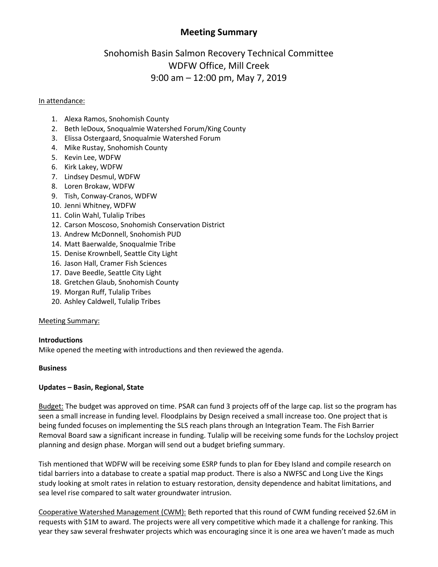## **Meeting Summary**

# Snohomish Basin Salmon Recovery Technical Committee WDFW Office, Mill Creek 9:00 am – 12:00 pm, May 7, 2019

#### In attendance:

- 1. Alexa Ramos, Snohomish County
- 2. Beth leDoux, Snoqualmie Watershed Forum/King County
- 3. Elissa Ostergaard, Snoqualmie Watershed Forum
- 4. Mike Rustay, Snohomish County
- 5. Kevin Lee, WDFW
- 6. Kirk Lakey, WDFW
- 7. Lindsey Desmul, WDFW
- 8. Loren Brokaw, WDFW
- 9. Tish, Conway-Cranos, WDFW
- 10. Jenni Whitney, WDFW
- 11. Colin Wahl, Tulalip Tribes
- 12. Carson Moscoso, Snohomish Conservation District
- 13. Andrew McDonnell, Snohomish PUD
- 14. Matt Baerwalde, Snoqualmie Tribe
- 15. Denise Krownbell, Seattle City Light
- 16. Jason Hall, Cramer Fish Sciences
- 17. Dave Beedle, Seattle City Light
- 18. Gretchen Glaub, Snohomish County
- 19. Morgan Ruff, Tulalip Tribes
- 20. Ashley Caldwell, Tulalip Tribes

## Meeting Summary:

## **Introductions**

Mike opened the meeting with introductions and then reviewed the agenda.

## **Business**

## **Updates – Basin, Regional, State**

Budget: The budget was approved on time. PSAR can fund 3 projects off of the large cap. list so the program has seen a small increase in funding level. Floodplains by Design received a small increase too. One project that is being funded focuses on implementing the SLS reach plans through an Integration Team. The Fish Barrier Removal Board saw a significant increase in funding. Tulalip will be receiving some funds for the Lochsloy project planning and design phase. Morgan will send out a budget briefing summary.

Tish mentioned that WDFW will be receiving some ESRP funds to plan for Ebey Island and compile research on tidal barriers into a database to create a spatial map product. There is also a NWFSC and Long Live the Kings study looking at smolt rates in relation to estuary restoration, density dependence and habitat limitations, and sea level rise compared to salt water groundwater intrusion.

Cooperative Watershed Management (CWM): Beth reported that this round of CWM funding received \$2.6M in requests with \$1M to award. The projects were all very competitive which made it a challenge for ranking. This year they saw several freshwater projects which was encouraging since it is one area we haven't made as much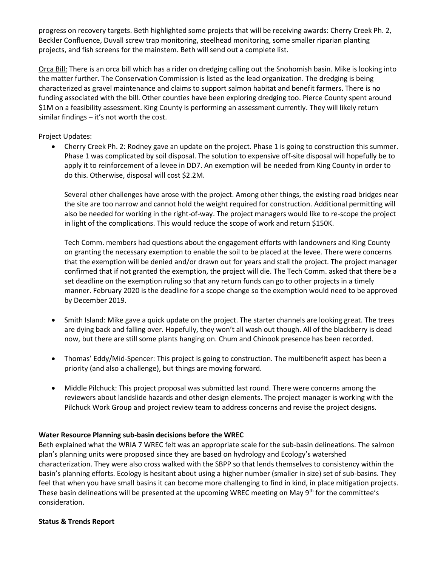progress on recovery targets. Beth highlighted some projects that will be receiving awards: Cherry Creek Ph. 2, Beckler Confluence, Duvall screw trap monitoring, steelhead monitoring, some smaller riparian planting projects, and fish screens for the mainstem. Beth will send out a complete list.

Orca Bill: There is an orca bill which has a rider on dredging calling out the Snohomish basin. Mike is looking into the matter further. The Conservation Commission is listed as the lead organization. The dredging is being characterized as gravel maintenance and claims to support salmon habitat and benefit farmers. There is no funding associated with the bill. Other counties have been exploring dredging too. Pierce County spent around \$1M on a feasibility assessment. King County is performing an assessment currently. They will likely return similar findings – it's not worth the cost.

### Project Updates:

 Cherry Creek Ph. 2: Rodney gave an update on the project. Phase 1 is going to construction this summer. Phase 1 was complicated by soil disposal. The solution to expensive off-site disposal will hopefully be to apply it to reinforcement of a levee in DD7. An exemption will be needed from King County in order to do this. Otherwise, disposal will cost \$2.2M.

Several other challenges have arose with the project. Among other things, the existing road bridges near the site are too narrow and cannot hold the weight required for construction. Additional permitting will also be needed for working in the right-of-way. The project managers would like to re-scope the project in light of the complications. This would reduce the scope of work and return \$150K.

Tech Comm. members had questions about the engagement efforts with landowners and King County on granting the necessary exemption to enable the soil to be placed at the levee. There were concerns that the exemption will be denied and/or drawn out for years and stall the project. The project manager confirmed that if not granted the exemption, the project will die. The Tech Comm. asked that there be a set deadline on the exemption ruling so that any return funds can go to other projects in a timely manner. February 2020 is the deadline for a scope change so the exemption would need to be approved by December 2019.

- Smith Island: Mike gave a quick update on the project. The starter channels are looking great. The trees are dying back and falling over. Hopefully, they won't all wash out though. All of the blackberry is dead now, but there are still some plants hanging on. Chum and Chinook presence has been recorded.
- Thomas' Eddy/Mid-Spencer: This project is going to construction. The multibenefit aspect has been a priority (and also a challenge), but things are moving forward.
- Middle Pilchuck: This project proposal was submitted last round. There were concerns among the reviewers about landslide hazards and other design elements. The project manager is working with the Pilchuck Work Group and project review team to address concerns and revise the project designs.

#### **Water Resource Planning sub-basin decisions before the WREC**

Beth explained what the WRIA 7 WREC felt was an appropriate scale for the sub-basin delineations. The salmon plan's planning units were proposed since they are based on hydrology and Ecology's watershed characterization. They were also cross walked with the SBPP so that lends themselves to consistency within the basin's planning efforts. Ecology is hesitant about using a higher number (smaller in size) set of sub-basins. They feel that when you have small basins it can become more challenging to find in kind, in place mitigation projects. These basin delineations will be presented at the upcoming WREC meeting on May  $9<sup>th</sup>$  for the committee's consideration.

#### **Status & Trends Report**